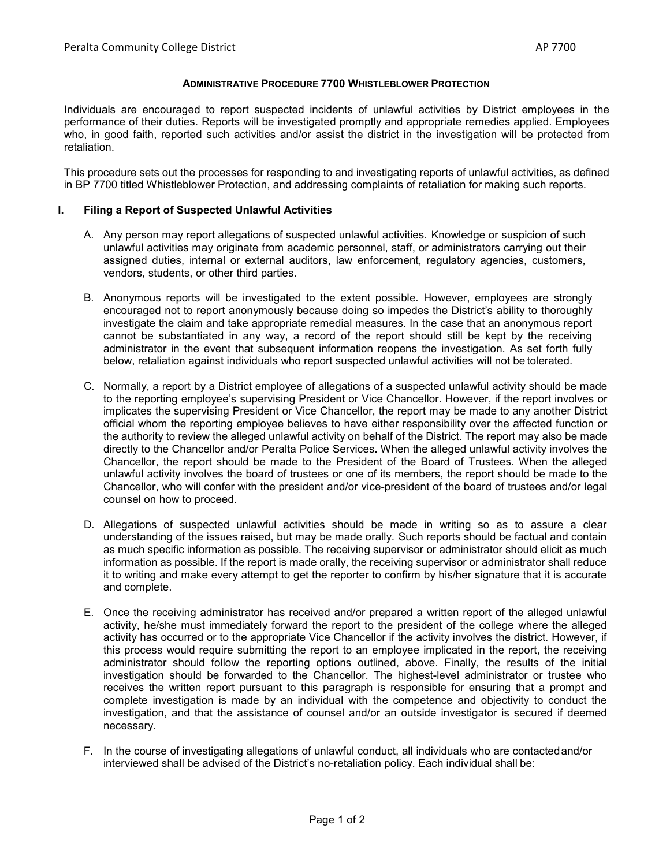# **ADMINISTRATIVE PROCEDURE 7700 WHISTLEBLOWER PROTECTION**

Individuals are encouraged to report suspected incidents of unlawful activities by District employees in the performance of their duties. Reports will be investigated promptly and appropriate remedies applied. Employees who, in good faith, reported such activities and/or assist the district in the investigation will be protected from retaliation.

This procedure sets out the processes for responding to and investigating reports of unlawful activities, as defined in BP 7700 titled Whistleblower Protection, and addressing complaints of retaliation for making such reports.

# **I. Filing a Report of Suspected Unlawful Activities**

- A. Any person may report allegations of suspected unlawful activities. Knowledge or suspicion of such unlawful activities may originate from academic personnel, staff, or administrators carrying out their assigned duties, internal or external auditors, law enforcement, regulatory agencies, customers, vendors, students, or other third parties.
- B. Anonymous reports will be investigated to the extent possible. However, employees are strongly encouraged not to report anonymously because doing so impedes the District's ability to thoroughly investigate the claim and take appropriate remedial measures. In the case that an anonymous report cannot be substantiated in any way, a record of the report should still be kept by the receiving administrator in the event that subsequent information reopens the investigation. As set forth fully below, retaliation against individuals who report suspected unlawful activities will not be tolerated.
- C. Normally, a report by a District employee of allegations of a suspected unlawful activity should be made to the reporting employee's supervising President or Vice Chancellor. However, if the report involves or implicates the supervising President or Vice Chancellor, the report may be made to any another District official whom the reporting employee believes to have either responsibility over the affected function or the authority to review the alleged unlawful activity on behalf of the District. The report may also be made directly to the Chancellor and/or Peralta Police Services*.* When the alleged unlawful activity involves the Chancellor, the report should be made to the President of the Board of Trustees. When the alleged unlawful activity involves the board of trustees or one of its members, the report should be made to the Chancellor, who will confer with the president and/or vice-president of the board of trustees and/or legal counsel on how to proceed.
- D. Allegations of suspected unlawful activities should be made in writing so as to assure a clear understanding of the issues raised, but may be made orally. Such reports should be factual and contain as much specific information as possible. The receiving supervisor or administrator should elicit as much information as possible. If the report is made orally, the receiving supervisor or administrator shall reduce it to writing and make every attempt to get the reporter to confirm by his/her signature that it is accurate and complete.
- E. Once the receiving administrator has received and/or prepared a written report of the alleged unlawful activity, he/she must immediately forward the report to the president of the college where the alleged activity has occurred or to the appropriate Vice Chancellor if the activity involves the district*.* However, if this process would require submitting the report to an employee implicated in the report, the receiving administrator should follow the reporting options outlined, above. Finally, the results of the initial investigation should be forwarded to the Chancellor. The highest-level administrator or trustee who receives the written report pursuant to this paragraph is responsible for ensuring that a prompt and complete investigation is made by an individual with the competence and objectivity to conduct the investigation, and that the assistance of counsel and/or an outside investigator is secured if deemed necessary.
- F. In the course of investigating allegations of unlawful conduct, all individuals who are contactedand/or interviewed shall be advised of the District's no-retaliation policy. Each individual shall be: